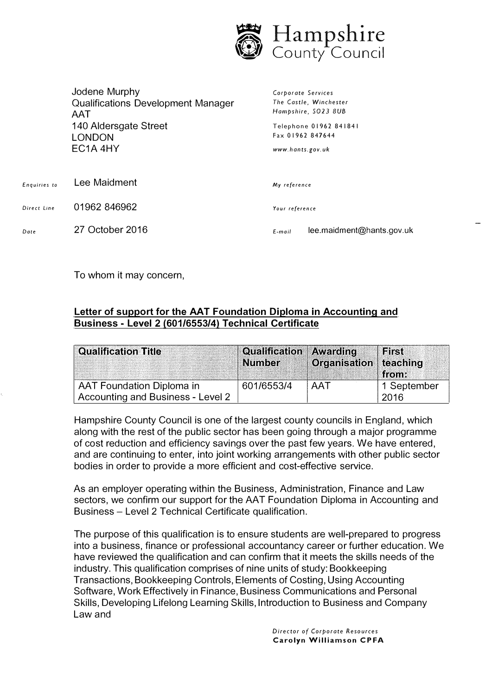

|              | Jodene Murphy<br><b>Qualifications Development Manager</b><br>AAT<br>140 Aldersgate Street<br><b>LONDON</b><br>EC <sub>1</sub> A <sub>4HY</sub> | Corporate Services<br>The Castle, Winchester<br>Hampshire, SO23 8UB<br>Telephone 01962 841841<br>Fax 01962 847644<br>www.hants.gov.uk |  |
|--------------|-------------------------------------------------------------------------------------------------------------------------------------------------|---------------------------------------------------------------------------------------------------------------------------------------|--|
| Enquiries to | Lee Maidment                                                                                                                                    | My reference                                                                                                                          |  |
| Direct Line  | 01962 846962                                                                                                                                    | Your reference                                                                                                                        |  |
| Date         | 27 October 2016                                                                                                                                 | lee.maidment@hants.gov.uk<br>E-mail                                                                                                   |  |

To whom it may concern,

## **Letter of support for the AAT Foundation Diploma in Accounting and Business· Level 2 (601/6553/4) Technical Certificate**

| <b>Qualification Title</b>        | <b>Qualification Awarding</b><br><b>Number</b> | Organisation <sup>"</sup> | First<br>teaching<br>from: |
|-----------------------------------|------------------------------------------------|---------------------------|----------------------------|
| AAT Foundation Diploma in         | 601/6553/4                                     | <b>AAT</b>                | 1 September                |
| Accounting and Business - Level 2 |                                                |                           | 2016                       |

Hampshire County Council is one of the largest county councils in England, which along with the rest of the public sector has been going through a major programme of cost reduction and efficiency savings over the past few years. We have entered, and are continuing to enter, into joint working arrangements with other public sector bodies in order to provide a more efficient and cost-effective service.

As an employer operating within the Business, Administration, Finance and Law sectors, we confirm our support for the AAT Foundation Diploma in Accounting and Business - Level 2 Technical Certificate qualification.

The purpose of this qualification is to ensure students are well-prepared to progress into a business, finance or professional accountancy career or further education. We have reviewed the qualification and can confirm that it meets the skills needs of the industry. This qualification comprises of nine units of study: Bookkeeping Transactions, Bookkeeping Controls, Elements of Costing, Using Accounting Software, Work Effectively in Finance, Business Communications and Personal Skills, Developing Lifelong Learning Skills, Introduction to Business and Company Law and

> *Director of Corporate Resources*  **Carolyn Williamson CPFA**